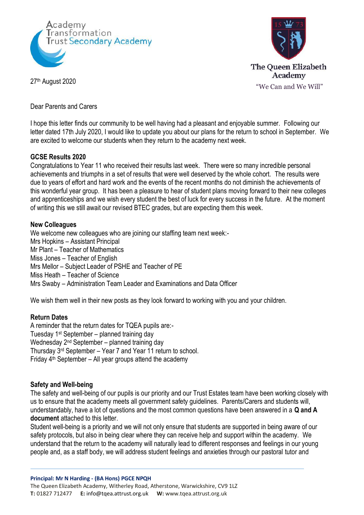



27th August 2020

Dear Parents and Carers

I hope this letter finds our community to be well having had a pleasant and enjoyable summer. Following our letter dated 17th July 2020, I would like to update you about our plans for the return to school in September. We are excited to welcome our students when they return to the academy next week.

## **GCSE Results 2020**

Congratulations to Year 11 who received their results last week. There were so many incredible personal achievements and triumphs in a set of results that were well deserved by the whole cohort. The results were due to years of effort and hard work and the events of the recent months do not diminish the achievements of this wonderful year group. It has been a pleasure to hear of student plans moving forward to their new colleges and apprenticeships and we wish every student the best of luck for every success in the future. At the moment of writing this we still await our revised BTEC grades, but are expecting them this week.

#### **New Colleagues**

We welcome new colleagues who are joining our staffing team next week:-Mrs Hopkins – Assistant Principal Mr Plant – Teacher of Mathematics Miss Jones – Teacher of English Mrs Mellor – Subject Leader of PSHE and Teacher of PE Miss Heath – Teacher of Science Mrs Swaby – Administration Team Leader and Examinations and Data Officer

We wish them well in their new posts as they look forward to working with you and your children.

## **Return Dates**

A reminder that the return dates for TQEA pupils are:- Tuesday 1st September – planned training day Wednesday 2nd September – planned training day Thursday 3rd September – Year 7 and Year 11 return to school. Friday 4th September – All year groups attend the academy

#### **Safety and Well-being**

The safety and well-being of our pupils is our priority and our Trust Estates team have been working closely with us to ensure that the academy meets all government safety guidelines. Parents/Carers and students will, understandably, have a lot of questions and the most common questions have been answered in a **Q and A document** attached to this letter.

Student well-being is a priority and we will not only ensure that students are supported in being aware of our safety protocols, but also in being clear where they can receive help and support within the academy. We understand that the return to the academy will naturally lead to different responses and feelings in our young people and, as a staff body, we will address student feelings and anxieties through our pastoral tutor and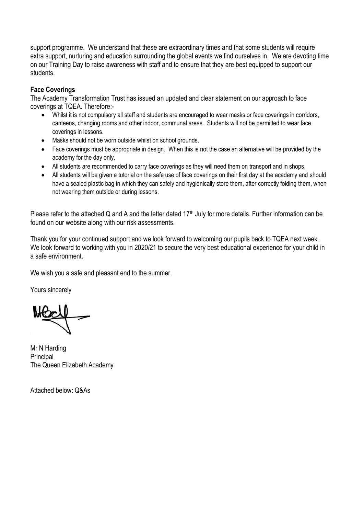support programme. We understand that these are extraordinary times and that some students will require extra support, nurturing and education surrounding the global events we find ourselves in. We are devoting time on our Training Day to raise awareness with staff and to ensure that they are best equipped to support our students.

# **Face Coverings**

The Academy Transformation Trust has issued an updated and clear statement on our approach to face coverings at TQEA. Therefore:-

- Whilst it is not compulsory all staff and students are encouraged to wear masks or face coverings in corridors, canteens, changing rooms and other indoor, communal areas. Students will not be permitted to wear face coverings in lessons.
- Masks should not be worn outside whilst on school grounds.
- Face coverings must be appropriate in design. When this is not the case an alternative will be provided by the academy for the day only.
- All students are recommended to carry face coverings as they will need them on transport and in shops.
- All students will be given a tutorial on the safe use of face coverings on their first day at the academy and should have a sealed plastic bag in which they can safely and hygienically store them, after correctly folding them, when not wearing them outside or during lessons.

Please refer to the attached Q and A and the letter dated 17<sup>th</sup> July for more details. Further information can be found on our website along with our risk assessments.

Thank you for your continued support and we look forward to welcoming our pupils back to TQEA next week. We look forward to working with you in 2020/21 to secure the very best educational experience for your child in a safe environment.

We wish you a safe and pleasant end to the summer.

Yours sincerely

Mr N Harding **Principal** The Queen Elizabeth Academy

Attached below: Q&As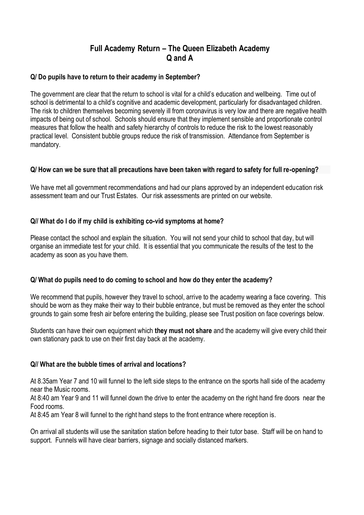# **Full Academy Return – The Queen Elizabeth Academy Q and A**

## **Q/ Do pupils have to return to their academy in September?**

The government are clear that the return to school is vital for a child's education and wellbeing. Time out of school is detrimental to a child's cognitive and academic development, particularly for disadvantaged children. The risk to children themselves becoming severely ill from coronavirus is very low and there are negative health impacts of being out of school. Schools should ensure that they implement sensible and proportionate control measures that follow the health and safety hierarchy of controls to reduce the risk to the lowest reasonably practical level. Consistent bubble groups reduce the risk of transmission. Attendance from September is mandatory.

#### **Q/ How can we be sure that all precautions have been taken with regard to safety for full re-opening?**

We have met all government recommendations and had our plans approved by an independent education risk assessment team and our Trust Estates. Our risk assessments are printed on our website.

# **Q// What do I do if my child is exhibiting co-vid symptoms at home?**

Please contact the school and explain the situation. You will not send your child to school that day, but will organise an immediate test for your child. It is essential that you communicate the results of the test to the academy as soon as you have them.

## **Q/ What do pupils need to do coming to school and how do they enter the academy?**

We recommend that pupils, however they travel to school, arrive to the academy wearing a face covering. This should be worn as they make their way to their bubble entrance, but must be removed as they enter the school grounds to gain some fresh air before entering the building, please see Trust position on face coverings below.

Students can have their own equipment which **they must not share** and the academy will give every child their own stationary pack to use on their first day back at the academy.

## **Q// What are the bubble times of arrival and locations?**

At 8.35am Year 7 and 10 will funnel to the left side steps to the entrance on the sports hall side of the academy near the Music rooms.

At 8:40 am Year 9 and 11 will funnel down the drive to enter the academy on the right hand fire doors near the Food rooms.

At 8:45 am Year 8 will funnel to the right hand steps to the front entrance where reception is.

On arrival all students will use the sanitation station before heading to their tutor base. Staff will be on hand to support. Funnels will have clear barriers, signage and socially distanced markers.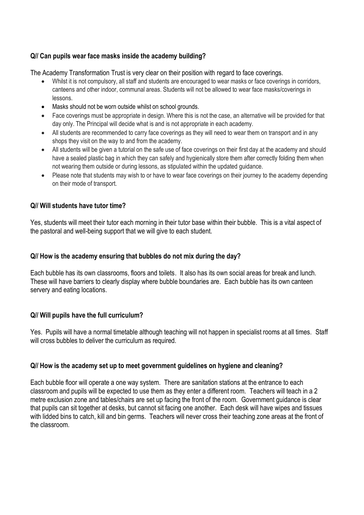# **Q// Can pupils wear face masks inside the academy building?**

The Academy Transformation Trust is very clear on their position with regard to face coverings.

- Whilst it is not compulsory, all staff and students are encouraged to wear masks or face coverings in corridors, canteens and other indoor, communal areas. Students will not be allowed to wear face masks/coverings in lessons.
- Masks should not be worn outside whilst on school grounds.
- Face coverings must be appropriate in design. Where this is not the case, an alternative will be provided for that day only. The Principal will decide what is and is not appropriate in each academy.
- All students are recommended to carry face coverings as they will need to wear them on transport and in any shops they visit on the way to and from the academy.
- All students will be given a tutorial on the safe use of face coverings on their first day at the academy and should have a sealed plastic bag in which they can safely and hygienically store them after correctly folding them when not wearing them outside or during lessons, as stipulated within the updated guidance.
- Please note that students may wish to or have to wear face coverings on their journey to the academy depending on their mode of transport.

# **Q// Will students have tutor time?**

Yes, students will meet their tutor each morning in their tutor base within their bubble. This is a vital aspect of the pastoral and well-being support that we will give to each student.

## **Q// How is the academy ensuring that bubbles do not mix during the day?**

Each bubble has its own classrooms, floors and toilets. It also has its own social areas for break and lunch. These will have barriers to clearly display where bubble boundaries are. Each bubble has its own canteen servery and eating locations.

## **Q// Will pupils have the full curriculum?**

Yes. Pupils will have a normal timetable although teaching will not happen in specialist rooms at all times. Staff will cross bubbles to deliver the curriculum as required.

## **Q// How is the academy set up to meet government guidelines on hygiene and cleaning?**

Each bubble floor will operate a one way system. There are sanitation stations at the entrance to each classroom and pupils will be expected to use them as they enter a different room. Teachers will teach in a 2 metre exclusion zone and tables/chairs are set up facing the front of the room. Government guidance is clear that pupils can sit together at desks, but cannot sit facing one another. Each desk will have wipes and tissues with lidded bins to catch, kill and bin germs. Teachers will never cross their teaching zone areas at the front of the classroom.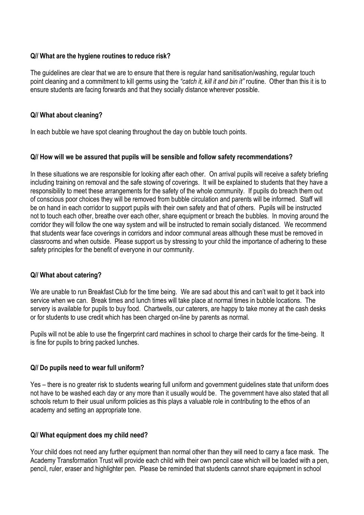## **Q// What are the hygiene routines to reduce risk?**

The guidelines are clear that we are to ensure that there is regular hand sanitisation/washing, regular touch point cleaning and a commitment to kill germs using the *"catch it, kill it and bin it"* routine. Other than this it is to ensure students are facing forwards and that they socially distance wherever possible.

## **Q// What about cleaning?**

In each bubble we have spot cleaning throughout the day on bubble touch points.

#### **Q// How will we be assured that pupils will be sensible and follow safety recommendations?**

In these situations we are responsible for looking after each other. On arrival pupils will receive a safety briefing including training on removal and the safe stowing of coverings. It will be explained to students that they have a responsibility to meet these arrangements for the safety of the whole community. If pupils do breach them out of conscious poor choices they will be removed from bubble circulation and parents will be informed. Staff will be on hand in each corridor to support pupils with their own safety and that of others. Pupils will be instructed not to touch each other, breathe over each other, share equipment or breach the bubbles. In moving around the corridor they will follow the one way system and will be instructed to remain socially distanced. We recommend that students wear face coverings in corridors and indoor communal areas although these must be removed in classrooms and when outside. Please support us by stressing to your child the importance of adhering to these safety principles for the benefit of everyone in our community.

## **Q// What about catering?**

We are unable to run Breakfast Club for the time being. We are sad about this and can't wait to get it back into service when we can. Break times and lunch times will take place at normal times in bubble locations. The servery is available for pupils to buy food. Chartwells, our caterers, are happy to take money at the cash desks or for students to use credit which has been charged on-line by parents as normal.

Pupils will not be able to use the fingerprint card machines in school to charge their cards for the time-being. It is fine for pupils to bring packed lunches.

#### **Q// Do pupils need to wear full uniform?**

Yes – there is no greater risk to students wearing full uniform and government guidelines state that uniform does not have to be washed each day or any more than it usually would be. The government have also stated that all schools return to their usual uniform policies as this plays a valuable role in contributing to the ethos of an academy and setting an appropriate tone.

#### **Q// What equipment does my child need?**

Your child does not need any further equipment than normal other than they will need to carry a face mask. The Academy Transformation Trust will provide each child with their own pencil case which will be loaded with a pen, pencil, ruler, eraser and highlighter pen. Please be reminded that students cannot share equipment in school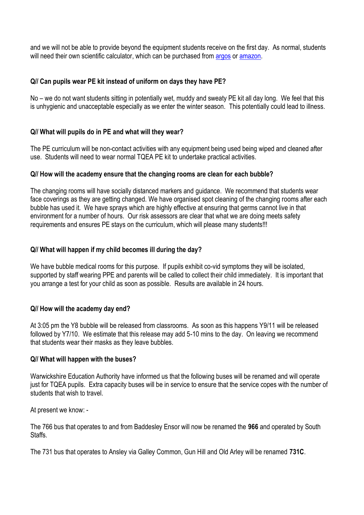and we will not be able to provide beyond the equipment students receive on the first day. As normal, students will need their own scientific calculator, which can be purchased fro[m argos](https://www.argos.co.uk/product/8864499) o[r amazon.](https://www.amazon.co.uk/Casio-fx-83GTX-Scientific-Calculator-Black/dp/B07L5YWTPH)

# **Q// Can pupils wear PE kit instead of uniform on days they have PE?**

No – we do not want students sitting in potentially wet, muddy and sweaty PE kit all day long. We feel that this is unhygienic and unacceptable especially as we enter the winter season. This potentially could lead to illness.

# **Q// What will pupils do in PE and what will they wear?**

The PE curriculum will be non-contact activities with any equipment being used being wiped and cleaned after use. Students will need to wear normal TQEA PE kit to undertake practical activities.

## **Q// How will the academy ensure that the changing rooms are clean for each bubble?**

The changing rooms will have socially distanced markers and guidance. We recommend that students wear face coverings as they are getting changed. We have organised spot cleaning of the changing rooms after each bubble has used it. We have sprays which are highly effective at ensuring that germs cannot live in that environment for a number of hours. Our risk assessors are clear that what we are doing meets safety requirements and ensures PE stays on the curriculum, which will please many students!!!

# **Q// What will happen if my child becomes ill during the day?**

We have bubble medical rooms for this purpose. If pupils exhibit co-vid symptoms they will be isolated, supported by staff wearing PPE and parents will be called to collect their child immediately. It is important that you arrange a test for your child as soon as possible. Results are available in 24 hours.

## **Q// How will the academy day end?**

At 3:05 pm the Y8 bubble will be released from classrooms. As soon as this happens Y9/11 will be released followed by Y7/10. We estimate that this release may add 5-10 mins to the day. On leaving we recommend that students wear their masks as they leave bubbles.

## **Q// What will happen with the buses?**

Warwickshire Education Authority have informed us that the following buses will be renamed and will operate just for TQEA pupils. Extra capacity buses will be in service to ensure that the service copes with the number of students that wish to travel.

At present we know: -

The 766 bus that operates to and from Baddesley Ensor will now be renamed the **966** and operated by South Staffs.

The 731 bus that operates to Ansley via Galley Common, Gun Hill and Old Arley will be renamed **731C**.